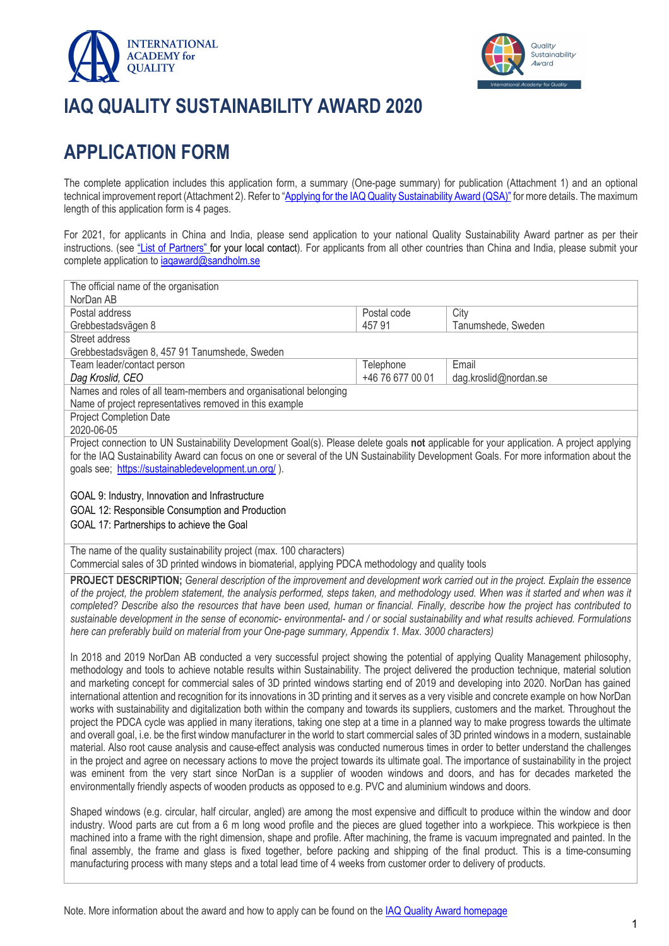



# **IAQ QUALITY SUSTAINABILITY AWARD 2020**

## **APPLICATION FORM**

The complete application includes this application form, a summary (One-page summary) for publication (Attachment 1) and an optional technical improvement report (Attachment 2). Refer to "Applying for the IAQ Quality Sustainability Award (QSA)" for more details. The maximum length of this application form is 4 pages.

For 2021, for applicants in China and India, please send application to your national Quality Sustainability Award partner as per their instructions. (see "List of Partners" for your local contact). For applicants from all other countries than China and India, please submit your complete application to iaqaward@sandholm.se

| The official name of the organisation                                                                                                                                                                                                                                                                                                                                                                                                                                                                                                                                                                                                                                                                                                                                                                                                                                                                                                                                                                                                                                                                                                                                                                                                                                                                                                                                                                                                                                                                                                           |                  |                       |
|-------------------------------------------------------------------------------------------------------------------------------------------------------------------------------------------------------------------------------------------------------------------------------------------------------------------------------------------------------------------------------------------------------------------------------------------------------------------------------------------------------------------------------------------------------------------------------------------------------------------------------------------------------------------------------------------------------------------------------------------------------------------------------------------------------------------------------------------------------------------------------------------------------------------------------------------------------------------------------------------------------------------------------------------------------------------------------------------------------------------------------------------------------------------------------------------------------------------------------------------------------------------------------------------------------------------------------------------------------------------------------------------------------------------------------------------------------------------------------------------------------------------------------------------------|------------------|-----------------------|
| NorDan AB                                                                                                                                                                                                                                                                                                                                                                                                                                                                                                                                                                                                                                                                                                                                                                                                                                                                                                                                                                                                                                                                                                                                                                                                                                                                                                                                                                                                                                                                                                                                       |                  |                       |
| Postal address                                                                                                                                                                                                                                                                                                                                                                                                                                                                                                                                                                                                                                                                                                                                                                                                                                                                                                                                                                                                                                                                                                                                                                                                                                                                                                                                                                                                                                                                                                                                  | Postal code      | City                  |
| Grebbestadsvägen 8                                                                                                                                                                                                                                                                                                                                                                                                                                                                                                                                                                                                                                                                                                                                                                                                                                                                                                                                                                                                                                                                                                                                                                                                                                                                                                                                                                                                                                                                                                                              | 45791            | Tanumshede, Sweden    |
| Street address                                                                                                                                                                                                                                                                                                                                                                                                                                                                                                                                                                                                                                                                                                                                                                                                                                                                                                                                                                                                                                                                                                                                                                                                                                                                                                                                                                                                                                                                                                                                  |                  |                       |
| Grebbestadsvägen 8, 457 91 Tanumshede, Sweden                                                                                                                                                                                                                                                                                                                                                                                                                                                                                                                                                                                                                                                                                                                                                                                                                                                                                                                                                                                                                                                                                                                                                                                                                                                                                                                                                                                                                                                                                                   |                  |                       |
| Team leader/contact person                                                                                                                                                                                                                                                                                                                                                                                                                                                                                                                                                                                                                                                                                                                                                                                                                                                                                                                                                                                                                                                                                                                                                                                                                                                                                                                                                                                                                                                                                                                      | Telephone        | Email                 |
| Dag Kroslid, CEO                                                                                                                                                                                                                                                                                                                                                                                                                                                                                                                                                                                                                                                                                                                                                                                                                                                                                                                                                                                                                                                                                                                                                                                                                                                                                                                                                                                                                                                                                                                                | +46 76 677 00 01 | dag.kroslid@nordan.se |
| Names and roles of all team-members and organisational belonging                                                                                                                                                                                                                                                                                                                                                                                                                                                                                                                                                                                                                                                                                                                                                                                                                                                                                                                                                                                                                                                                                                                                                                                                                                                                                                                                                                                                                                                                                |                  |                       |
| Name of project representatives removed in this example                                                                                                                                                                                                                                                                                                                                                                                                                                                                                                                                                                                                                                                                                                                                                                                                                                                                                                                                                                                                                                                                                                                                                                                                                                                                                                                                                                                                                                                                                         |                  |                       |
| Project Completion Date<br>2020-06-05                                                                                                                                                                                                                                                                                                                                                                                                                                                                                                                                                                                                                                                                                                                                                                                                                                                                                                                                                                                                                                                                                                                                                                                                                                                                                                                                                                                                                                                                                                           |                  |                       |
| Project connection to UN Sustainability Development Goal(s). Please delete goals not applicable for your application. A project applying                                                                                                                                                                                                                                                                                                                                                                                                                                                                                                                                                                                                                                                                                                                                                                                                                                                                                                                                                                                                                                                                                                                                                                                                                                                                                                                                                                                                        |                  |                       |
| for the IAQ Sustainability Award can focus on one or several of the UN Sustainability Development Goals. For more information about the                                                                                                                                                                                                                                                                                                                                                                                                                                                                                                                                                                                                                                                                                                                                                                                                                                                                                                                                                                                                                                                                                                                                                                                                                                                                                                                                                                                                         |                  |                       |
| goals see; https://sustainabledevelopment.un.org/).                                                                                                                                                                                                                                                                                                                                                                                                                                                                                                                                                                                                                                                                                                                                                                                                                                                                                                                                                                                                                                                                                                                                                                                                                                                                                                                                                                                                                                                                                             |                  |                       |
|                                                                                                                                                                                                                                                                                                                                                                                                                                                                                                                                                                                                                                                                                                                                                                                                                                                                                                                                                                                                                                                                                                                                                                                                                                                                                                                                                                                                                                                                                                                                                 |                  |                       |
| GOAL 9: Industry, Innovation and Infrastructure                                                                                                                                                                                                                                                                                                                                                                                                                                                                                                                                                                                                                                                                                                                                                                                                                                                                                                                                                                                                                                                                                                                                                                                                                                                                                                                                                                                                                                                                                                 |                  |                       |
| GOAL 12: Responsible Consumption and Production                                                                                                                                                                                                                                                                                                                                                                                                                                                                                                                                                                                                                                                                                                                                                                                                                                                                                                                                                                                                                                                                                                                                                                                                                                                                                                                                                                                                                                                                                                 |                  |                       |
| GOAL 17: Partnerships to achieve the Goal                                                                                                                                                                                                                                                                                                                                                                                                                                                                                                                                                                                                                                                                                                                                                                                                                                                                                                                                                                                                                                                                                                                                                                                                                                                                                                                                                                                                                                                                                                       |                  |                       |
|                                                                                                                                                                                                                                                                                                                                                                                                                                                                                                                                                                                                                                                                                                                                                                                                                                                                                                                                                                                                                                                                                                                                                                                                                                                                                                                                                                                                                                                                                                                                                 |                  |                       |
| The name of the quality sustainability project (max. 100 characters)<br>Commercial sales of 3D printed windows in biomaterial, applying PDCA methodology and quality tools                                                                                                                                                                                                                                                                                                                                                                                                                                                                                                                                                                                                                                                                                                                                                                                                                                                                                                                                                                                                                                                                                                                                                                                                                                                                                                                                                                      |                  |                       |
| PROJECT DESCRIPTION; General description of the improvement and development work carried out in the project. Explain the essence<br>of the project, the problem statement, the analysis performed, steps taken, and methodology used. When was it started and when was it<br>completed? Describe also the resources that have been used, human or financial. Finally, describe how the project has contributed to<br>sustainable development in the sense of economic- environmental- and / or social sustainability and what results achieved. Formulations<br>here can preferably build on material from your One-page summary, Appendix 1. Max. 3000 characters)                                                                                                                                                                                                                                                                                                                                                                                                                                                                                                                                                                                                                                                                                                                                                                                                                                                                             |                  |                       |
| In 2018 and 2019 NorDan AB conducted a very successful project showing the potential of applying Quality Management philosophy,<br>methodology and tools to achieve notable results within Sustainability. The project delivered the production technique, material solution<br>and marketing concept for commercial sales of 3D printed windows starting end of 2019 and developing into 2020. NorDan has gained<br>international attention and recognition for its innovations in 3D printing and it serves as a very visible and concrete example on how NorDan<br>works with sustainability and digitalization both within the company and towards its suppliers, customers and the market. Throughout the<br>project the PDCA cycle was applied in many iterations, taking one step at a time in a planned way to make progress towards the ultimate<br>and overall goal, i.e. be the first window manufacturer in the world to start commercial sales of 3D printed windows in a modern, sustainable<br>material. Also root cause analysis and cause-effect analysis was conducted numerous times in order to better understand the challenges<br>in the project and agree on necessary actions to move the project towards its ultimate goal. The importance of sustainability in the project<br>was eminent from the very start since NorDan is a supplier of wooden windows and doors, and has for decades marketed the<br>environmentally friendly aspects of wooden products as opposed to e.g. PVC and aluminium windows and doors. |                  |                       |
|                                                                                                                                                                                                                                                                                                                                                                                                                                                                                                                                                                                                                                                                                                                                                                                                                                                                                                                                                                                                                                                                                                                                                                                                                                                                                                                                                                                                                                                                                                                                                 |                  |                       |

Shaped windows (e.g. circular, half circular, angled) are among the most expensive and difficult to produce within the window and door industry. Wood parts are cut from a 6 m long wood profile and the pieces are glued together into a workpiece. This workpiece is then machined into a frame with the right dimension, shape and profile. After machining, the frame is vacuum impregnated and painted. In the final assembly, the frame and glass is fixed together, before packing and shipping of the final product. This is a time-consuming manufacturing process with many steps and a total lead time of 4 weeks from customer order to delivery of products.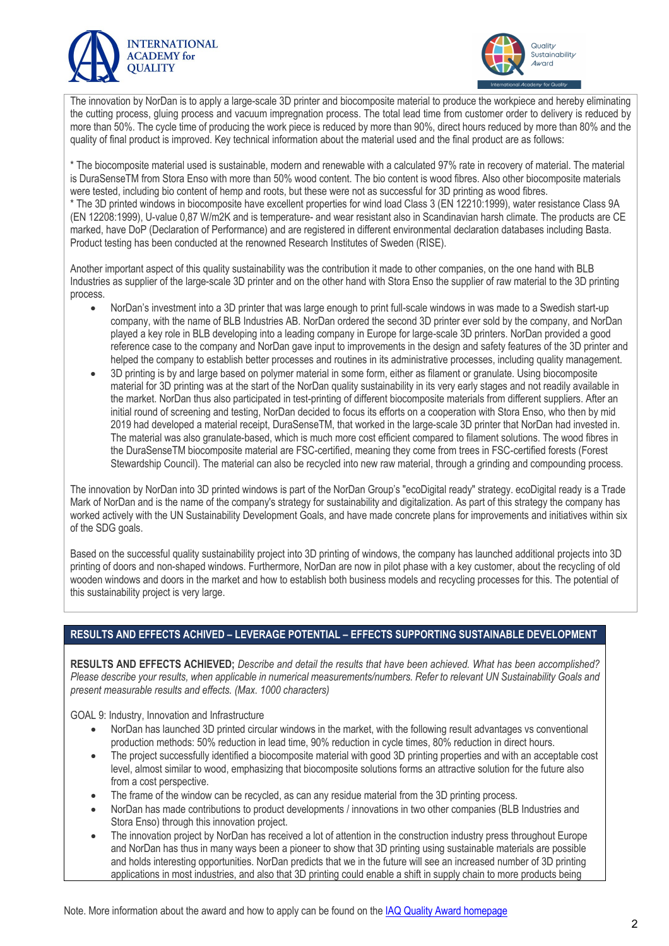



The innovation by NorDan is to apply a large-scale 3D printer and biocomposite material to produce the workpiece and hereby eliminating the cutting process, gluing process and vacuum impregnation process. The total lead time from customer order to delivery is reduced by more than 50%. The cycle time of producing the work piece is reduced by more than 90%, direct hours reduced by more than 80% and the quality of final product is improved. Key technical information about the material used and the final product are as follows:

\* The biocomposite material used is sustainable, modern and renewable with a calculated 97% rate in recovery of material. The material is DuraSenseTM from Stora Enso with more than 50% wood content. The bio content is wood fibres. Also other biocomposite materials were tested, including bio content of hemp and roots, but these were not as successful for 3D printing as wood fibres. \* The 3D printed windows in biocomposite have excellent properties for wind load Class 3 (EN 12210:1999), water resistance Class 9A (EN 12208:1999), U-value 0,87 W/m2K and is temperature- and wear resistant also in Scandinavian harsh climate. The products are CE marked, have DoP (Declaration of Performance) and are registered in different environmental declaration databases including Basta. Product testing has been conducted at the renowned Research Institutes of Sweden (RISE).

Another important aspect of this quality sustainability was the contribution it made to other companies, on the one hand with BLB Industries as supplier of the large-scale 3D printer and on the other hand with Stora Enso the supplier of raw material to the 3D printing process.

- NorDan's investment into a 3D printer that was large enough to print full-scale windows in was made to a Swedish start-up company, with the name of BLB Industries AB. NorDan ordered the second 3D printer ever sold by the company, and NorDan played a key role in BLB developing into a leading company in Europe for large-scale 3D printers. NorDan provided a good reference case to the company and NorDan gave input to improvements in the design and safety features of the 3D printer and helped the company to establish better processes and routines in its administrative processes, including quality management.
- 3D printing is by and large based on polymer material in some form, either as filament or granulate. Using biocomposite material for 3D printing was at the start of the NorDan quality sustainability in its very early stages and not readily available in the market. NorDan thus also participated in test-printing of different biocomposite materials from different suppliers. After an initial round of screening and testing, NorDan decided to focus its efforts on a cooperation with Stora Enso, who then by mid 2019 had developed a material receipt, DuraSenseTM, that worked in the large-scale 3D printer that NorDan had invested in. The material was also granulate-based, which is much more cost efficient compared to filament solutions. The wood fibres in the DuraSenseTM biocomposite material are FSC-certified, meaning they come from trees in FSC-certified forests (Forest Stewardship Council). The material can also be recycled into new raw material, through a grinding and compounding process.

The innovation by NorDan into 3D printed windows is part of the NorDan Group's "ecoDigital ready" strategy. ecoDigital ready is a Trade Mark of NorDan and is the name of the company's strategy for sustainability and digitalization. As part of this strategy the company has worked actively with the UN Sustainability Development Goals, and have made concrete plans for improvements and initiatives within six of the SDG goals.

Based on the successful quality sustainability project into 3D printing of windows, the company has launched additional projects into 3D printing of doors and non-shaped windows. Furthermore, NorDan are now in pilot phase with a key customer, about the recycling of old wooden windows and doors in the market and how to establish both business models and recycling processes for this. The potential of this sustainability project is very large.

### **RESULTS AND EFFECTS ACHIVED – LEVERAGE POTENTIAL – EFFECTS SUPPORTING SUSTAINABLE DEVELOPMENT**

**RESULTS AND EFFECTS ACHIEVED;** *Describe and detail the results that have been achieved. What has been accomplished? Please describe your results, when applicable in numerical measurements/numbers. Refer to relevant UN Sustainability Goals and present measurable results and effects. (Max. 1000 characters)*

GOAL 9: Industry, Innovation and Infrastructure

- NorDan has launched 3D printed circular windows in the market, with the following result advantages vs conventional production methods: 50% reduction in lead time, 90% reduction in cycle times, 80% reduction in direct hours.
- The project successfully identified a biocomposite material with good 3D printing properties and with an acceptable cost level, almost similar to wood, emphasizing that biocomposite solutions forms an attractive solution for the future also from a cost perspective.
- The frame of the window can be recycled, as can any residue material from the 3D printing process.
- NorDan has made contributions to product developments / innovations in two other companies (BLB Industries and Stora Enso) through this innovation project.
- The innovation project by NorDan has received a lot of attention in the construction industry press throughout Europe and NorDan has thus in many ways been a pioneer to show that 3D printing using sustainable materials are possible and holds interesting opportunities. NorDan predicts that we in the future will see an increased number of 3D printing applications in most industries, and also that 3D printing could enable a shift in supply chain to more products being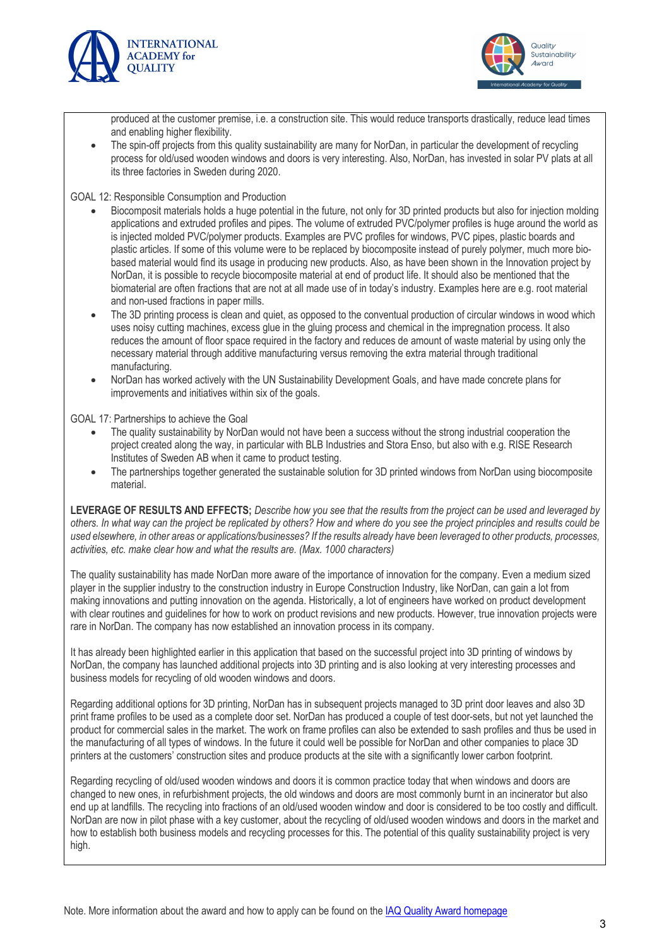



produced at the customer premise, i.e. a construction site. This would reduce transports drastically, reduce lead times and enabling higher flexibility.

The spin-off projects from this quality sustainability are many for NorDan, in particular the development of recycling process for old/used wooden windows and doors is very interesting. Also, NorDan, has invested in solar PV plats at all its three factories in Sweden during 2020.

GOAL 12: Responsible Consumption and Production

- Biocomposit materials holds a huge potential in the future, not only for 3D printed products but also for injection molding applications and extruded profiles and pipes. The volume of extruded PVC/polymer profiles is huge around the world as is injected molded PVC/polymer products. Examples are PVC profiles for windows, PVC pipes, plastic boards and plastic articles. If some of this volume were to be replaced by biocomposite instead of purely polymer, much more biobased material would find its usage in producing new products. Also, as have been shown in the Innovation project by NorDan, it is possible to recycle biocomposite material at end of product life. It should also be mentioned that the biomaterial are often fractions that are not at all made use of in today's industry. Examples here are e.g. root material and non-used fractions in paper mills.
- The 3D printing process is clean and quiet, as opposed to the conventual production of circular windows in wood which uses noisy cutting machines, excess glue in the gluing process and chemical in the impregnation process. It also reduces the amount of floor space required in the factory and reduces de amount of waste material by using only the necessary material through additive manufacturing versus removing the extra material through traditional manufacturing.
- NorDan has worked actively with the UN Sustainability Development Goals, and have made concrete plans for improvements and initiatives within six of the goals.

GOAL 17: Partnerships to achieve the Goal

- The quality sustainability by NorDan would not have been a success without the strong industrial cooperation the project created along the way, in particular with BLB Industries and Stora Enso, but also with e.g. RISE Research Institutes of Sweden AB when it came to product testing.
- The partnerships together generated the sustainable solution for 3D printed windows from NorDan using biocomposite material.

**LEVERAGE OF RESULTS AND EFFECTS;** *Describe how you see that the results from the project can be used and leveraged by others. In what way can the project be replicated by others? How and where do you see the project principles and results could be used elsewhere, in other areas or applications/businesses? If the results already have been leveraged to other products, processes, activities, etc. make clear how and what the results are. (Max. 1000 characters)*

The quality sustainability has made NorDan more aware of the importance of innovation for the company. Even a medium sized player in the supplier industry to the construction industry in Europe Construction Industry, like NorDan, can gain a lot from making innovations and putting innovation on the agenda. Historically, a lot of engineers have worked on product development with clear routines and guidelines for how to work on product revisions and new products. However, true innovation projects were rare in NorDan. The company has now established an innovation process in its company.

It has already been highlighted earlier in this application that based on the successful project into 3D printing of windows by NorDan, the company has launched additional projects into 3D printing and is also looking at very interesting processes and business models for recycling of old wooden windows and doors.

Regarding additional options for 3D printing, NorDan has in subsequent projects managed to 3D print door leaves and also 3D print frame profiles to be used as a complete door set. NorDan has produced a couple of test door-sets, but not yet launched the product for commercial sales in the market. The work on frame profiles can also be extended to sash profiles and thus be used in the manufacturing of all types of windows. In the future it could well be possible for NorDan and other companies to place 3D printers at the customers' construction sites and produce products at the site with a significantly lower carbon footprint.

Regarding recycling of old/used wooden windows and doors it is common practice today that when windows and doors are changed to new ones, in refurbishment projects, the old windows and doors are most commonly burnt in an incinerator but also end up at landfills. The recycling into fractions of an old/used wooden window and door is considered to be too costly and difficult. NorDan are now in pilot phase with a key customer, about the recycling of old/used wooden windows and doors in the market and how to establish both business models and recycling processes for this. The potential of this quality sustainability project is very high.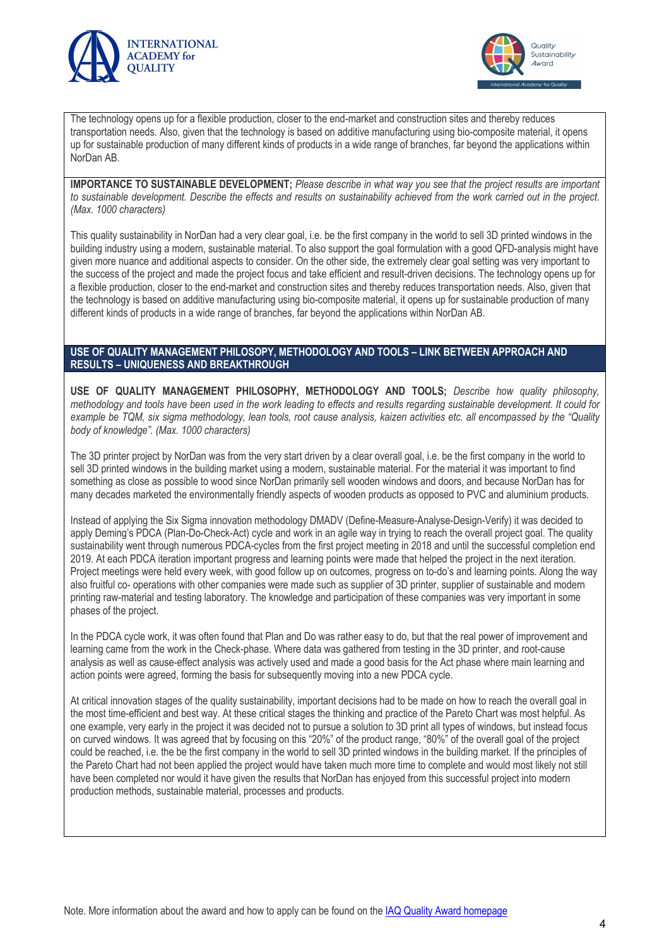



The technology opens up for a flexible production, closer to the end-market and construction sites and thereby reduces transportation needs. Also, given that the technology is based on additive manufacturing using bio-composite material, it opens up for sustainable production of many different kinds of products in a wide range of branches, far beyond the applications within NorDan AB.

**IMPORTANCE TO SUSTAINABLE DEVELOPMENT;** *Please describe in what way you see that the project results are important to sustainable development. Describe the effects and results on sustainability achieved from the work carried out in the project. (Max. 1000 characters)*

This quality sustainability in NorDan had a very clear goal, i.e. be the first company in the world to sell 3D printed windows in the building industry using a modern, sustainable material. To also support the goal formulation with a good QFD-analysis might have given more nuance and additional aspects to consider. On the other side, the extremely clear goal setting was very important to the success of the project and made the project focus and take efficient and result-driven decisions. The technology opens up for a flexible production, closer to the end-market and construction sites and thereby reduces transportation needs. Also, given that the technology is based on additive manufacturing using bio-composite material, it opens up for sustainable production of many different kinds of products in a wide range of branches, far beyond the applications within NorDan AB.

#### **USE OF QUALITY MANAGEMENT PHILOSOPY, METHODOLOGY AND TOOLS – LINK BETWEEN APPROACH AND RESULTS – UNIQUENESS AND BREAKTHROUGH**

**USE OF QUALITY MANAGEMENT PHILOSOPHY, METHODOLOGY AND TOOLS;** *Describe how quality philosophy, methodology and tools have been used in the work leading to effects and results regarding sustainable development. It could for example be TQM, six sigma methodology, lean tools, root cause analysis, kaizen activities etc. all encompassed by the "Quality body of knowledge". (Max. 1000 characters)*

The 3D printer project by NorDan was from the very start driven by a clear overall goal, i.e. be the first company in the world to sell 3D printed windows in the building market using a modern, sustainable material. For the material it was important to find something as close as possible to wood since NorDan primarily sell wooden windows and doors, and because NorDan has for many decades marketed the environmentally friendly aspects of wooden products as opposed to PVC and aluminium products.

Instead of applying the Six Sigma innovation methodology DMADV (Define-Measure-Analyse-Design-Verify) it was decided to apply Deming's PDCA (Plan-Do-Check-Act) cycle and work in an agile way in trying to reach the overall project goal. The quality sustainability went through numerous PDCA-cycles from the first project meeting in 2018 and until the successful completion end 2019. At each PDCA iteration important progress and learning points were made that helped the project in the next iteration. Project meetings were held every week, with good follow up on outcomes, progress on to-do's and learning points. Along the way also fruitful co- operations with other companies were made such as supplier of 3D printer, supplier of sustainable and modern printing raw-material and testing laboratory. The knowledge and participation of these companies was very important in some phases of the project.

In the PDCA cycle work, it was often found that Plan and Do was rather easy to do, but that the real power of improvement and learning came from the work in the Check-phase. Where data was gathered from testing in the 3D printer, and root-cause analysis as well as cause-effect analysis was actively used and made a good basis for the Act phase where main learning and action points were agreed, forming the basis for subsequently moving into a new PDCA cycle.

At critical innovation stages of the quality sustainability, important decisions had to be made on how to reach the overall goal in the most time-efficient and best way. At these critical stages the thinking and practice of the Pareto Chart was most helpful. As one example, very early in the project it was decided not to pursue a solution to 3D print all types of windows, but instead focus on curved windows. It was agreed that by focusing on this "20%" of the product range, "80%" of the overall goal of the project could be reached, i.e. the be the first company in the world to sell 3D printed windows in the building market. If the principles of the Pareto Chart had not been applied the project would have taken much more time to complete and would most likely not still have been completed nor would it have given the results that NorDan has enjoyed from this successful project into modern production methods, sustainable material, processes and products.